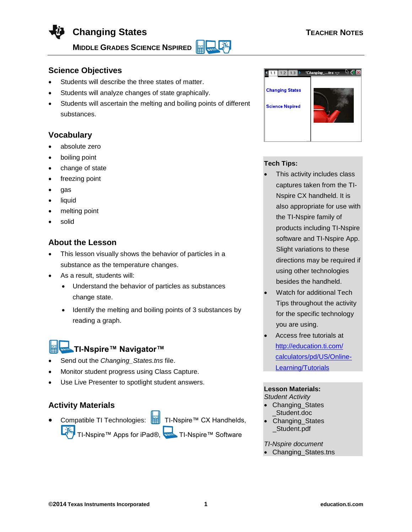

**Science Objectives**

- Students will describe the three states of matter.
- Students will analyze changes of state graphically.
- Students will ascertain the melting and boiling points of different substances.

# **Vocabulary**

- absolute zero
- boiling point
- change of state
- freezing point
- gas
- liquid
- melting point
- solid

## **About the Lesson**

- This lesson visually shows the behavior of particles in a substance as the temperature changes.
- As a result, students will:
	- Understand the behavior of particles as substances change state.
	- Identify the melting and boiling points of 3 substances by reading a graph.

# **TI-Nspire™ Navigator™**

- Send out the *Changing\_States.tns* file.
- Monitor student progress using Class Capture.
- Use Live Presenter to spotlight student answers.

## **Activity Materials**

Compatible TI Technologies: **Fight** TI-Nspire™ CX Handhelds, TI-Nspire™ Apps for iPad®, TI-Nspire™ Software



#### **Tech Tips:**

- This activity includes class captures taken from the TI-Nspire CX handheld. It is also appropriate for use with the TI-Nspire family of products including TI-Nspire software and TI-Nspire App. Slight variations to these directions may be required if using other technologies besides the handheld.
- Watch for additional Tech Tips throughout the activity for the specific technology you are using.
- Access free tutorials at [http://education.ti.com/](http://education.ti.com/%0bcalculators/pd/US/Online-Learning/Tutorials) [calculators/pd/US/Online-](http://education.ti.com/%0bcalculators/pd/US/Online-Learning/Tutorials)[Learning/Tutorials](http://education.ti.com/%0bcalculators/pd/US/Online-Learning/Tutorials)

#### **Lesson Materials:** *Student Activity*

- Changing\_States \_Student.doc
- Changing\_States \_Student.pdf

*TI-Nspire document*

Changing\_States.tns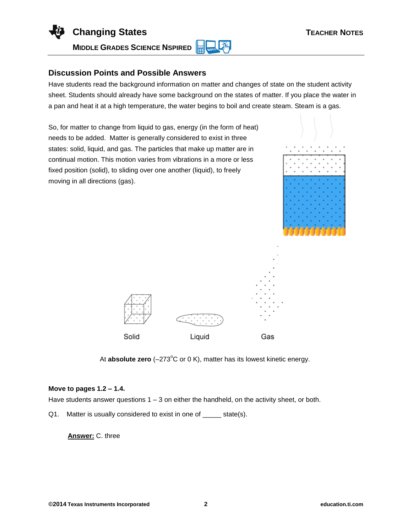

### **Discussion Points and Possible Answers**

Have students read the background information on matter and changes of state on the student activity sheet. Students should already have some background on the states of matter. If you place the water in a pan and heat it at a high temperature, the water begins to boil and create steam. Steam is a gas.

So, for matter to change from liquid to gas, energy (in the form of heat) needs to be added. Matter is generally considered to exist in three states: solid, liquid, and gas. The particles that make up matter are in continual motion. This motion varies from vibrations in a more or less fixed position (solid), to sliding over one another (liquid), to freely moving in all directions (gas).





At **absolute zero** (–273<sup>°</sup>C or 0 K), matter has its lowest kinetic energy.

#### **Move to pages 1.2 – 1.4.**

Have students answer questions  $1 - 3$  on either the handheld, on the activity sheet, or both.

Q1. Matter is usually considered to exist in one of state(s).

**Answer:** C. three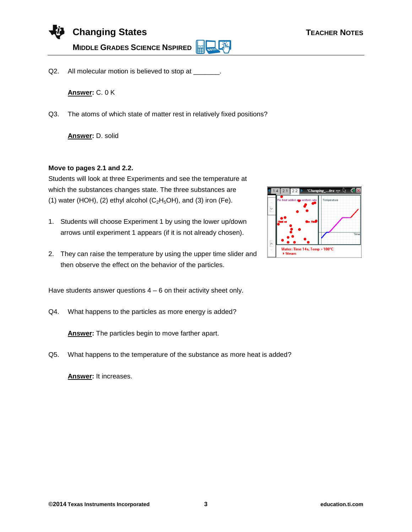

Q2. All molecular motion is believed to stop at

**Answer:** C. 0 K

Q3. The atoms of which state of matter rest in relatively fixed positions?

**Answer:** D. solid

#### **Move to pages 2.1 and 2.2.**

Students will look at three Experiments and see the temperature at which the substances changes state. The three substances are (1) water (HOH), (2) ethyl alcohol  $(C_2H_5OH)$ , and (3) iron (Fe).

- 1. Students will choose Experiment 1 by using the lower up/down arrows until experiment 1 appears (if it is not already chosen).
- 2. They can raise the temperature by using the upper time slider and then observe the effect on the behavior of the particles.

Have students answer questions  $4 - 6$  on their activity sheet only.

Q4. What happens to the particles as more energy is added?

**Answer:** The particles begin to move farther apart.

Q5. What happens to the temperature of the substance as more heat is added?

**Answer:** It increases.

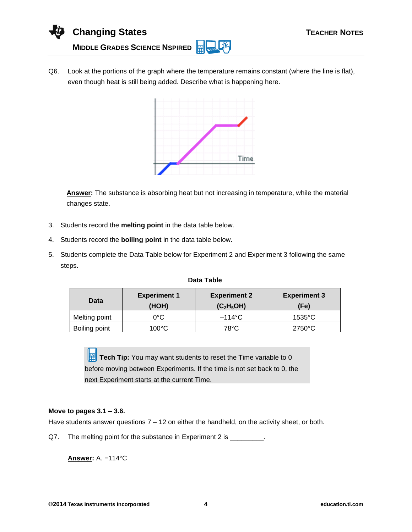

Q6. Look at the portions of the graph where the temperature remains constant (where the line is flat), even though heat is still being added. Describe what is happening here.



**Answer:** The substance is absorbing heat but not increasing in temperature, while the material changes state.

- 3. Students record the **melting point** in the data table below.
- 4. Students record the **boiling point** in the data table below.
- 5. Students complete the Data Table below for Experiment 2 and Experiment 3 following the same steps.

| Data Table |
|------------|
|            |

| Data          | <b>Experiment 1</b><br>(HOH) | <b>Experiment 2</b><br>(C <sub>2</sub> H <sub>5</sub> OH) | <b>Experiment 3</b><br>(Fe) |
|---------------|------------------------------|-----------------------------------------------------------|-----------------------------|
| Melting point | 0°C                          | $-114^{\circ}$ C                                          | $1535^{\circ}$ C            |
| Boiling point | 100°C                        | 78°C                                                      | $2750^{\circ}$ C            |

**Tech Tip:** You may want students to reset the Time variable to 0 before moving between Experiments. If the time is not set back to 0, the next Experiment starts at the current Time.

#### **Move to pages 3.1 – 3.6.**

Have students answer questions  $7 - 12$  on either the handheld, on the activity sheet, or both.

Q7. The melting point for the substance in Experiment 2 is \_\_\_\_\_\_\_\_.

**Answer:** A. −114°C